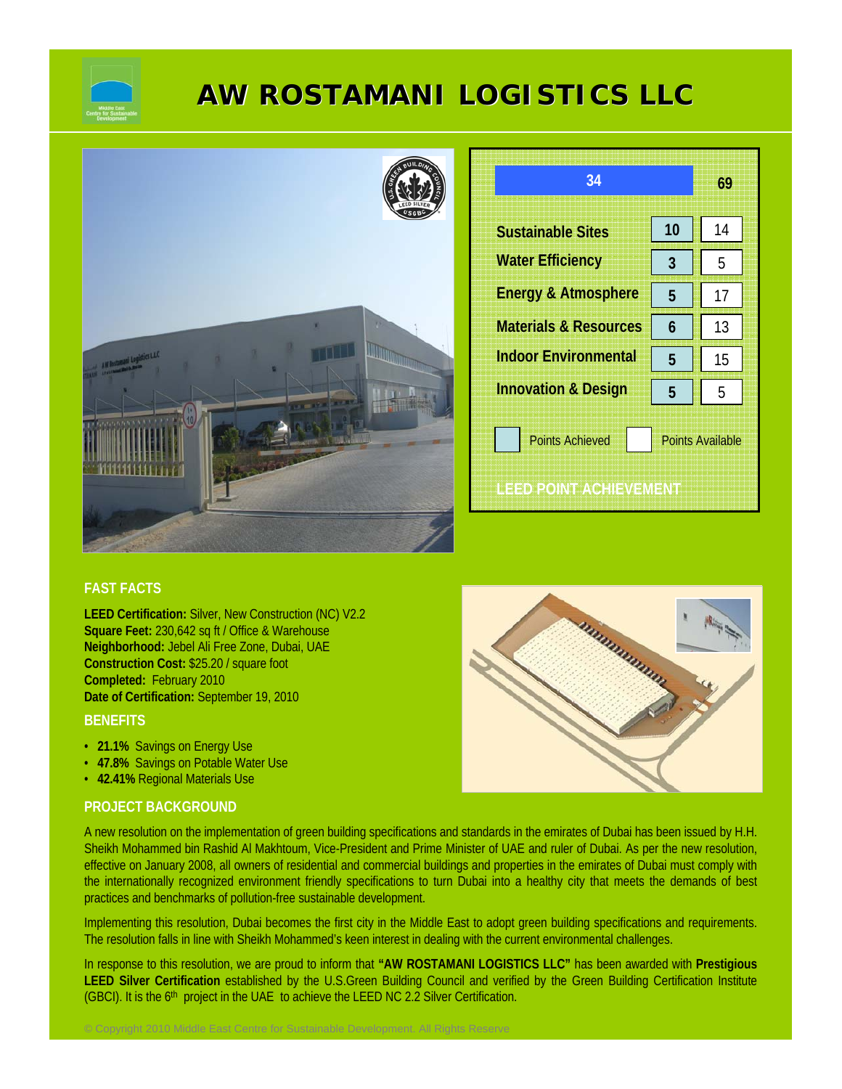

# **AW ROSTAMANI LOGISTICS LLC**



| 34                               |                         | 69 |
|----------------------------------|-------------------------|----|
| <b>Sustainable Sites</b>         | 10                      | 14 |
| <b>Water Efficiency</b>          | 3                       | 5  |
| <b>Energy &amp; Atmosphere</b>   | 5                       | 17 |
| <b>Materials &amp; Resources</b> | 6                       | 13 |
| <b>Indoor Environmental</b>      | 5                       | 15 |
| <b>Innovation &amp; Design</b>   | 5                       | 5  |
| <b>Points Achieved</b>           | <b>Points Available</b> |    |
| LEED POINT ACHIEVEMENT           |                         |    |

# **FAST FACTS**

**LEED Certification:** Silver, New Construction (NC) V2.2 **Square Feet:** 230,642 sq ft / Office & Warehouse **Neighborhood:** Jebel Ali Free Zone, Dubai, UAE **Construction Cost:** \$25.20 / square foot **Completed:** February 2010 **Date of Certification:** September 19, 2010

# **BENEFITS**

- **21.1%** Savings on Energy Use
- **47.8%** Savings on Potable Water Use
- **42.41%** Regional Materials Use

### **PROJECT BACKGROUND**

A new resolution on the implementation of green building specifications and standards in the emirates of Dubai has been issued by H.H. Sheikh Mohammed bin Rashid Al Makhtoum, Vice-President and Prime Minister of UAE and ruler of Dubai. As per the new resolution, effective on January 2008, all owners of residential and commercial buildings and properties in the emirates of Dubai must comply with the internationally recognized environment friendly specifications to turn Dubai into a healthy city that meets the demands of best practices and benchmarks of pollution-free sustainable development.

Implementing this resolution, Dubai becomes the first city in the Middle East to adopt green building specifications and requirements. The resolution falls in line with Sheikh Mohammed's keen interest in dealing with the current environmental challenges.

In response to this resolution, we are proud to inform that **"AW ROSTAMANI LOGISTICS LLC"** has been awarded with **Prestigious LEED Silver Certification** established by the U.S.Green Building Council and verified by the Green Building Certification Institute (GBCI). It is the 6<sup>th</sup> project in the UAE to achieve the LEED NC 2.2 Silver Certification.

© Copyright 2010 Middle East Centre for Sustainable Development. All Rights Reserve